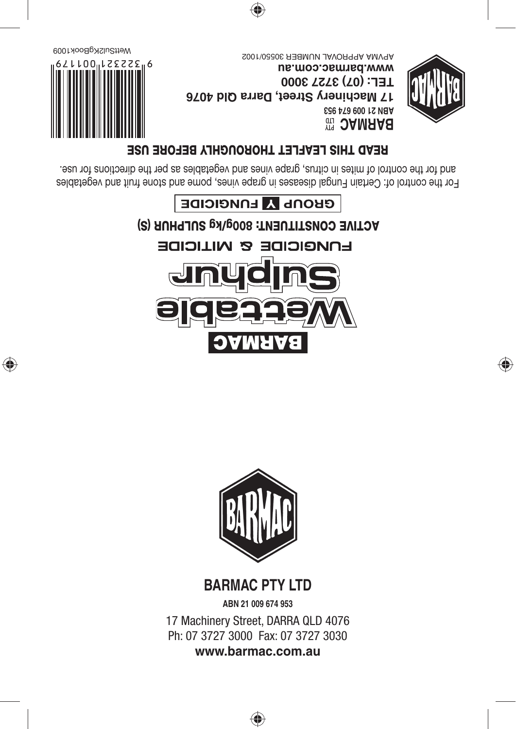

۳

17 Machinery Street, DARRA QLD 4076

**BARMAC PTY LTD ABN 21 009 674 953**





For the control of: Certain Fungal diseases in grape vines, pome and stone fruit and vegetables and for the control of mites in citrus, grape vines and vegetables as per the directions for use.

# **READ THIS LEAFLET THOROUGHLY BEFORE USE**



◈

<sup>9</sup> 3AMAA8 **ABN 21 009 674 953 17 Machinery Street, Darra Qld 4076 TEL: (07) 3727 3000 www.barmac.com.au** APVMA APPROVAL NUMBER 30550/1002



◈

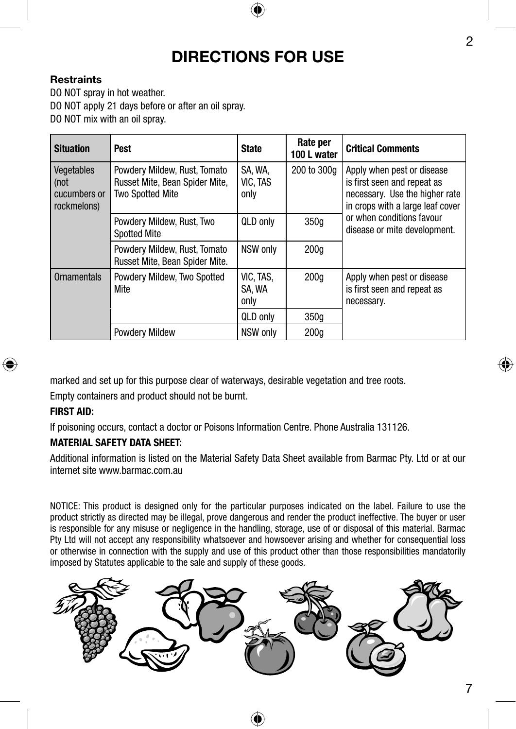# **DIRECTIONS FOR USE**

#### **Restraints**

DO NOT spray in hot weather. DO NOT apply 21 days before or after an oil spray. DO NOT mix with an oil spray.

| <b>Situation</b>                                    | Pest                                                                                      | <b>State</b>                | Rate per<br>100 L water | <b>Critical Comments</b>                                                                                                                                                                     |
|-----------------------------------------------------|-------------------------------------------------------------------------------------------|-----------------------------|-------------------------|----------------------------------------------------------------------------------------------------------------------------------------------------------------------------------------------|
| Vegetables<br>  (not<br>cucumbers or<br>rockmelons) | Powdery Mildew, Rust, Tomato<br>Russet Mite, Bean Spider Mite,<br><b>Two Spotted Mite</b> | SA. WA.<br>VIC, TAS<br>only | 200 to 300g             | Apply when pest or disease<br>is first seen and repeat as<br>necessary. Use the higher rate<br>in crops with a large leaf cover<br>or when conditions favour<br>disease or mite development. |
|                                                     | Powdery Mildew, Rust, Two<br><b>Spotted Mite</b>                                          | QLD only                    | 350q                    |                                                                                                                                                                                              |
|                                                     | Powdery Mildew, Rust, Tomato<br>Russet Mite, Bean Spider Mite.                            | NSW only                    | 200q                    |                                                                                                                                                                                              |
| Ornamentals                                         | Powdery Mildew, Two Spotted<br>Mite                                                       | VIC, TAS,<br>SA. WA<br>only | 200 <sub>a</sub>        | Apply when pest or disease<br>is first seen and repeat as<br>necessary.                                                                                                                      |
|                                                     |                                                                                           | QLD only                    | 350q                    |                                                                                                                                                                                              |
|                                                     | <b>Powdery Mildew</b>                                                                     | NSW only                    | 200q                    |                                                                                                                                                                                              |

marked and set up for this purpose clear of waterways, desirable vegetation and tree roots. Empty containers and product should not be burnt.

# **FIRST AID:**

If poisoning occurs, contact a doctor or Poisons Information Centre. Phone Australia 131126.

#### **MATERIAL SAFETY DATA SHEET:**

Additional information is listed on the Material Safety Data Sheet available from Barmac Pty. Ltd or at our internet site www.barmac.com.au

NOTICE: This product is designed only for the particular purposes indicated on the label. Failure to use the product strictly as directed may be illegal, prove dangerous and render the product ineffective. The buyer or user is responsible for any misuse or negligence in the handling, storage, use of or disposal of this material. Barmac Pty Ltd will not accept any responsibility whatsoever and howsoever arising and whether for consequential loss or otherwise in connection with the supply and use of this product other than those responsibilities mandatorily imposed by Statutes applicable to the sale and supply of these goods.



2

⊕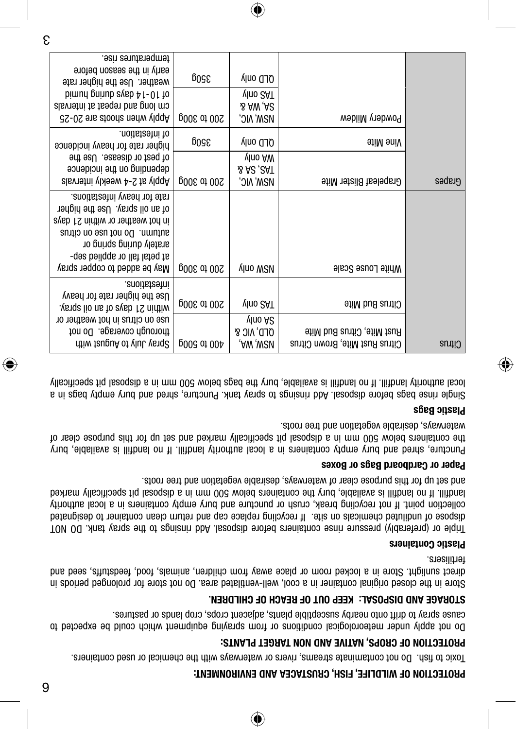## **ENDILECTION OF WILDLIFE, FISH, CRUSTACEA AND ENVIRONMENT:**

Toxic to fish. Do not contaminate streams, rivers or waterways with the chemical or used containers.

## **PROTECTION OF CROPS, NATIVE AND NON TARGET PLANTS:**

Do not apply under meteorological conditions or from spraying equipment which could be expected to cause spray to drift onto nearby susceptible plants, adjacent crops, crop lands or pastures.

## **EN. DR HIL C H OF AC ER OF T L: KEEP OU A ISPOS D DNA GE RA OTS**

Store in the closed original container in a cool, well-ventilated area. Do not store for prolonged periods in direct sunlight. Store in a locked room or place away from children, animals, food, feedstuffs, seed and fertilisers.

#### **Plastic Containers**

Triple or (preferably) pressure rinse containers before disposal. Add rinsings to the spray tank. DO NOT dispose of undiluted chemicals on site. If recycling replace cap and return clean container to designated collection point. If not recycling break, crush or puncture and bury empty containers in a local authority landfill. If no landfill is available, bury the containers below 500 mm in a disposal pit specifically marked and set up for this purpose clear of waterways, desirable vegetation and tree roots.

#### **ardboard Bags or Boxes C Paper or**

Puncture, shred and bury empty containers in a local authority landfill. If no landfill is available, bury the containers below 500 mm in a disposal pit specifically marked and set up for this purpose clear of waterways, desirable vegetation and tree roots.

#### **Plastic Bags**

◈

Single rinse bags before disposal. Add rinsings to spray tank. Puncture, shred and bury empty bags in a local authority landfill. If no landfill is available, bury the bags below 500 mm in a disposal pit specifically

|               |                                                              | QLD only<br>V <sup>Ino 2AT</sup>                         | 350g        | temperatures rise.<br>early in the season before<br>weather. Use the higher rate<br>bimund prinub exab A1-01 to<br>cm long and repeat at intervals<br>82-02 ens atoons neuw ylggA                                               |  |
|---------------|--------------------------------------------------------------|----------------------------------------------------------|-------------|---------------------------------------------------------------------------------------------------------------------------------------------------------------------------------------------------------------------------------|--|
|               | Powdery Mildew                                               | S AW, AS<br>mam' nic'                                    | 200 to 300g |                                                                                                                                                                                                                                 |  |
|               | vine Mite                                                    | ord only                                                 | 3200        | .noitstaeni to<br>higher rate for heavy incidence                                                                                                                                                                               |  |
| Grapes        | Grapeleaf Blister Mite                                       | vlno AW<br><b>SAC, CAT</b><br>mam' nic'                  | 200 to 300g | of pest or disease. Use the<br>asuapioni adt no pridence<br>Apply at 2-4 weekly intervals                                                                                                                                       |  |
|               | White Louse Scale                                            | <b>VINO WSN</b>                                          | 200 to 300g | rate for heavy infestations.<br>of an oil spray. Use the higher<br>in hot weather or within 21 days<br>autum. Do not use on citrus<br>arately during spring or<br>at petal fall or applied sep-<br>May be added to copper spray |  |
|               | Citrus Bud Mite                                              | vlno 2AT                                                 | 200 to 300g | .anoitstaetni<br>Use the higher rate for heavy<br>ysngs lio ns to aysb 12 nintiw                                                                                                                                                |  |
| <b>Citrus</b> | Rust Mite, Citrus Bud Mite<br>Citrus Rust Mite, Brown Citrus | vlno A <sub>C</sub><br><b>OLD, VIC &amp;</b><br>,AW ,W2V | 400 to 500p | use on citrus in hot weather or<br>thorough coverage. Do not<br>dtiw tauguA of ylul yeng2                                                                                                                                       |  |
|               |                                                              |                                                          |             |                                                                                                                                                                                                                                 |  |

⊕

⊕

6